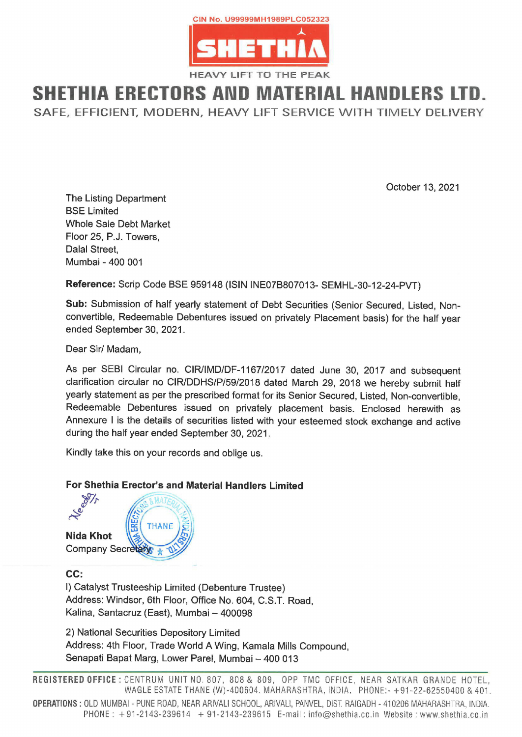

## SHETHIA ERECTORS AND MATERIAL HANDLERS LTD.

SAFE, EFFICIENT, MODERN, HEAVY LIFT SERVICE WITH TIMELY DELIVERY

October 13, 2021

The Listing Department BSE Limited Whole Sale Debt Market Floor 25, P.J. Towers, Dalal Street, Mumbai - 400 001

Reference: Scrip Code BSE 959148 (ISIN INE07B807013- SEMHL-30-12-24-PVT)

Sub: Submission of half yearly statement of Debt Securities (Senior Secured, Listed, Nonconvertible, Redeemable Debentures issued on privately Placement basis) for the half year ended September 30, 2021.

Dear Sir/ Madam,

As per SEBI Circular no. CIR/IMD/DF-1167/2017 dated June 30, 2017 and subsequent clarification circular no CIR/DDHS/P/59/2018 dated March 29, 2018 we hereby submit half yearly statement as per the prescribed format for its Senior Secured, Listed, Non-convertible, Redeemable Debentures issued on privately placement basis. Enclosed herewith as Annexure I is the details of securities listed with your esteemed stock exchange and active during the half year ended September 30, 2021. Whole Sale Debt Market<br>
Floor 25, P.J. Towers,<br>
Dalal Street,<br>
Mumbai - 400 001<br>
Reference: Scrip Code BSE 959148 (ISIN IN<br>
Sub: Submission of half yearly statement of<br>
convertible, Redeemable Debentures issued<br>
ended Sep

Kindly take this on your records and oblige us.

## For Shethia Erector's and Material Handlers Limited



## cc:

|) Catalyst Trusteeship Limited (Debenture Trustee) Address: Windsor, 6th Floor, Office No. 604, C.S.T. Road, Kalina, Santacruz (East), Mumbai — 400098

2) National Securities Depository Limited Address: 4th Floor, Trade World A Wing, Kamala Mills Compound, Senapati Bapat Marg, Lower Parel, Mumbai — 400 013

Office No. 604,<br>
mbai – 400098<br>
itory Limited<br>
orld A Wing, Kan<br>
Parel, Mumbai –<br>
No. 807, 808 & 8<br>
HANE (W)-400604<br>
EAR ARIVALI SCHOOL<br>
4 + 91-2143-2396 CENTRUM<br>WAGLE E<br>N - PUNE F<br>91-2143 REGISTERED OFFICE : CENTRUM UNIT NO. 807, 808& 809, OPP TMC OFFICE, NEAR SATKAR GRANDE HOTEL, WAGLE ESTATE THANE (W)-400604. MAHARASHTRA, INDIA. PHONE:- +91-22-62550400 & 401. OPERATIONS : OLD MUMBAI - PUNE ROAD, NEAR ARIVALI SCHOOL, ARIVALI, PANVEL, DIST. RAIGADH - 410206 MAHARASHTRA, INDIA. PHONE: +91-2143-239614 + 91-2143-239615 E-mail: info@shethia.co.in Website : www.shethia.co.in